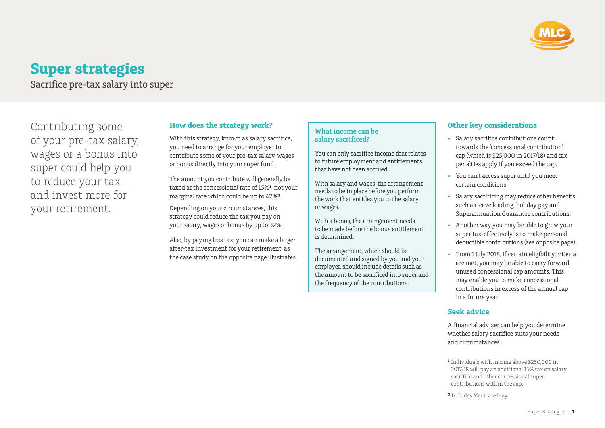

# **Super strategies**

Sacrifice pre-tax salary into super

Contributing some of your pre-tax salary, wages or a bonus into super could help you to reduce your tax and invest more for your retirement.

# **How does the strategy work?**

With this strategy, known as salary sacrifice, you need to arrange for your employer to contribute some of your pre‑tax salary, wages or bonus directly into your super fund.

The amount you contribute will generally be taxed at the concessional rate of 15%<sup>1</sup>, not your marginal rate which could be up to 47%**²**.

Depending on your circumstances, this strategy could reduce the tax you pay on your salary, wages or bonus by up to 32%.

Also, by paying less tax, you can make a larger after-tax investment for your retirement, as the case study on the opposite page illustrates.

## **What income can be salary sacrificed?**

You can only sacrifice income that relates to future employment and entitlements that have not been accrued.

With salary and wages, the arrangement needs to be in place before you perform the work that entitles you to the salary or wages.

With a bonus, the arrangement needs to be made before the bonus entitlement is determined.

The arrangement, which should be documented and signed by you and your employer, should include details such as the amount to be sacrificed into super and the frequency of the contributions.

## **Other key considerations**

- Salary sacrifice contributions count towards the 'concessional contribution' cap (which is \$25,000 in 2017/18) and tax penalties apply if you exceed the cap.
- You can't access super until you meet certain conditions.
- Salary sacrificing may reduce other benefits such as leave loading, holiday pay and Superannuation Guarantee contributions.
- Another way you may be able to grow your super tax-effectively is to make personal deductible contributions (see opposite page).
- From 1 July 2018, if certain eligibility criteria are met, you may be able to carry forward unused concessional cap amounts. This may enable you to make concessional contributions in excess of the annual cap in a future year.

#### **Seek advice**

A financial adviser can help you determine whether salary sacrifice suits your needs and circumstances.

- **¹** Individuals with income above \$250,000 in 2017/18 will pay an additional 15% tax on salary sacrifice and other concessional super contributions within the cap.
- **²** Includes Medicare levy.